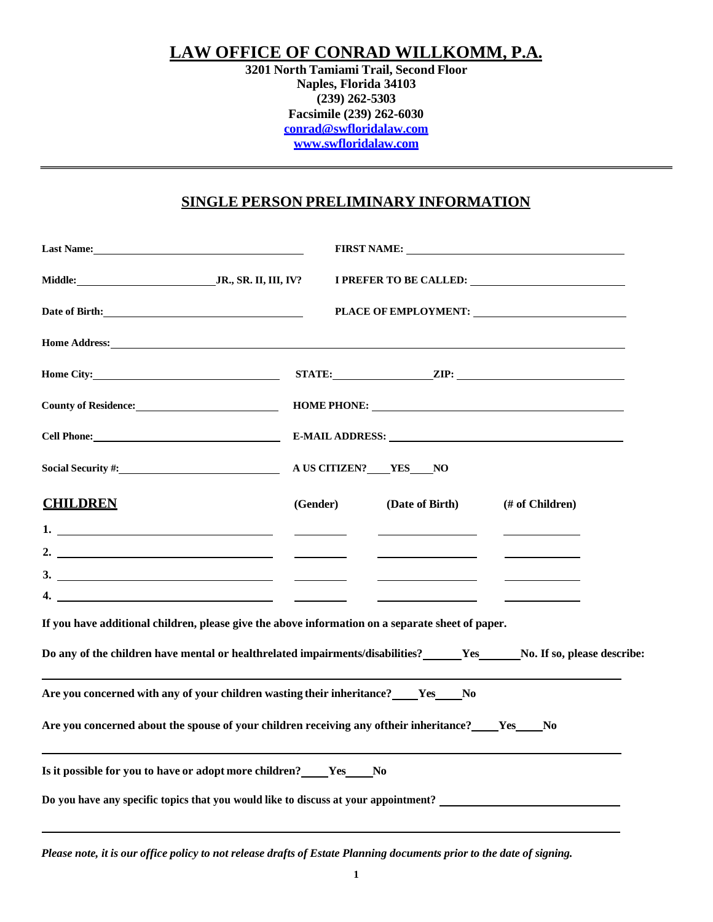## **LAW OFFICE OF CONRAD WILLKOMM, P.A.**

**3201 North Tamiami Trail, Second Floor Naples, Florida 34103 (239) 262-5303 Facsimile (239) 262-6030 [conrad@swfloridalaw.com](mailto:conrad@swfloridalaw.com) [www.swfloridalaw.com](http://www.swfloridalaw.com/)**

### **SINGLE PERSON PRELIMINARY INFORMATION**

| Last Name: 1988 Manual Manual Manual Manual Manual Manual Manual Manual Manual Manual Manual Manual Manual Manual Manual Manual Manual Manual Manual Manual Manual Manual Manual Manual Manual Manual Manual Manual Manual Man      |                                                                                                                                                                                                                                |
|-------------------------------------------------------------------------------------------------------------------------------------------------------------------------------------------------------------------------------------|--------------------------------------------------------------------------------------------------------------------------------------------------------------------------------------------------------------------------------|
| Middle: JR., SR. II, III, IV?                                                                                                                                                                                                       | I PREFER TO BE CALLED: NAME OF THE SERVICE OF THE SERVICE OF THE SERVICE OF THE SERVICE OF THE SERVICE OF THE SERVICE OF THE SERVICE OF THE SERVICE OF THE SERVICE OF THE SERVICE OF THE SERVICE OF THE SERVICE OF THE SERVICE |
|                                                                                                                                                                                                                                     | PLACE OF EMPLOYMENT:                                                                                                                                                                                                           |
| Home Address: <u>the acceptance</u> of the second state of the second state of the second state of the second state of the second state of the second state of the second state of the second state of the second state of the seco |                                                                                                                                                                                                                                |
| Home City: No. 2014                                                                                                                                                                                                                 |                                                                                                                                                                                                                                |
| County of Residence:<br><u>County of Residence:</u>                                                                                                                                                                                 | HOME PHONE:                                                                                                                                                                                                                    |
| Cell Phone: New York Contract the Contract of the Contract of the Contract of the Contract of the Contract of the Contract of the Contract of the Contract of the Contract of the Contract of the Contract of the Contract of       |                                                                                                                                                                                                                                |
| Social Security #:                                                                                                                                                                                                                  | A US CITIZEN? YES NO                                                                                                                                                                                                           |
| <b>CHILDREN</b>                                                                                                                                                                                                                     | (Gender)<br>(Date of Birth)<br>(# of Children)                                                                                                                                                                                 |
| $1.$ $\qquad \qquad$                                                                                                                                                                                                                |                                                                                                                                                                                                                                |
| 2. $\overline{\phantom{a}}$                                                                                                                                                                                                         | $\overline{\phantom{a}}$ . The contract of the state $\overline{\phantom{a}}$                                                                                                                                                  |
|                                                                                                                                                                                                                                     |                                                                                                                                                                                                                                |
|                                                                                                                                                                                                                                     |                                                                                                                                                                                                                                |
| If you have additional children, please give the above information on a separate sheet of paper.                                                                                                                                    |                                                                                                                                                                                                                                |
|                                                                                                                                                                                                                                     | Do any of the children have mental or healthrelated impairments/disabilities? Yes No. If so, please describe:                                                                                                                  |
| Are you concerned with any of your children wasting their inheritance? Yes No                                                                                                                                                       |                                                                                                                                                                                                                                |
|                                                                                                                                                                                                                                     | Are you concerned about the spouse of your children receiving any of their inheritance? Yes No                                                                                                                                 |
| Is it possible for you to have or adopt more children? _____ Yes _____ No                                                                                                                                                           |                                                                                                                                                                                                                                |
|                                                                                                                                                                                                                                     | Do you have any specific topics that you would like to discuss at your appointment?                                                                                                                                            |

Please note, it is our office policy to not release drafts of Estate Planning documents prior to the date of signing.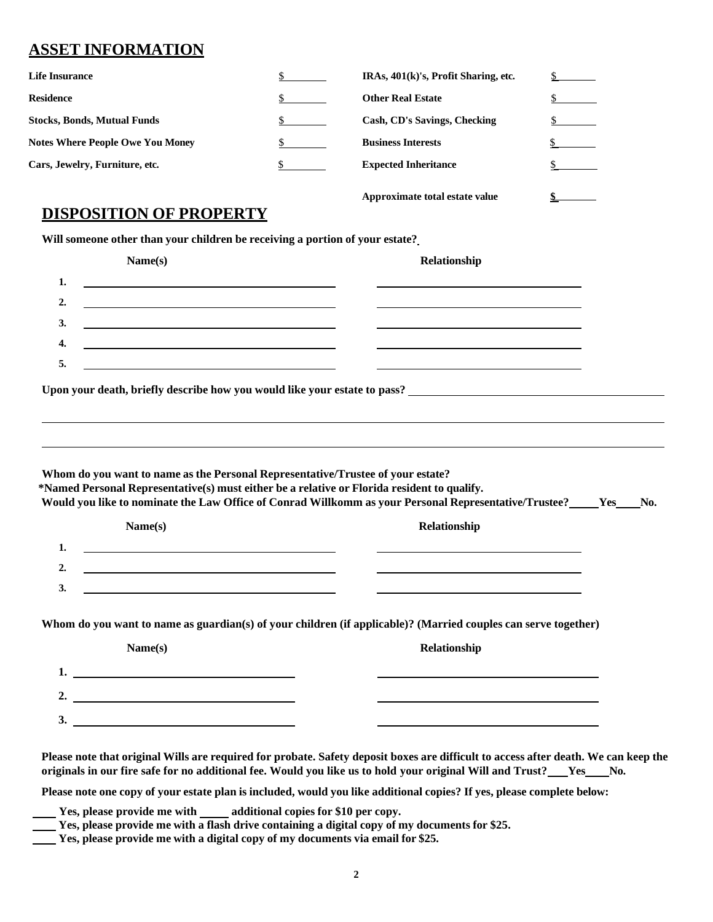# **ASSET INFORMATION**

| <b>Life Insurance</b>                   | IRAs, 401(k)'s, Profit Sharing, etc. |  |
|-----------------------------------------|--------------------------------------|--|
| <b>Residence</b>                        | <b>Other Real Estate</b>             |  |
| <b>Stocks, Bonds, Mutual Funds</b>      | Cash, CD's Savings, Checking         |  |
| <b>Notes Where People Owe You Money</b> | <b>Business Interests</b>            |  |
| Cars, Jewelry, Furniture, etc.          | <b>Expected Inheritance</b>          |  |
|                                         |                                      |  |

### **DISPOSITION OF PROPERTY**

**Will someone other than your children be receiving a portion of your estate?**

| Name(s)                                                                                                                                | Relationship                                                                                                                                                                                                                  |
|----------------------------------------------------------------------------------------------------------------------------------------|-------------------------------------------------------------------------------------------------------------------------------------------------------------------------------------------------------------------------------|
| <u> 1989 - Johann Barn, mars ann an t-Amhain Aonaich an t-Aonaich an t-Aonaich an t-Aonaich an t-Aonaich an t-Aon</u><br>1.            |                                                                                                                                                                                                                               |
| 2.                                                                                                                                     |                                                                                                                                                                                                                               |
| 3.                                                                                                                                     |                                                                                                                                                                                                                               |
| 4.<br><u> 1989 - Johann Stein, marwolaethau a bhann an t-Amhair an t-Amhair an t-Amhair an t-Amhair an t-Amhair an t-A</u>             |                                                                                                                                                                                                                               |
| 5.<br><u> 1980 - Johann Barbara, martin amerikan basar dan berasal dan berasal dalam basar dalam basar dalam basar dala</u>            | <u> 1989 - Johann Stoff, amerikansk politiker (* 1908)</u>                                                                                                                                                                    |
|                                                                                                                                        |                                                                                                                                                                                                                               |
|                                                                                                                                        |                                                                                                                                                                                                                               |
|                                                                                                                                        |                                                                                                                                                                                                                               |
|                                                                                                                                        |                                                                                                                                                                                                                               |
|                                                                                                                                        |                                                                                                                                                                                                                               |
|                                                                                                                                        |                                                                                                                                                                                                                               |
| Whom do you want to name as the Personal Representative/Trustee of your estate?                                                        | *Named Personal Representative(s) must either be a relative or Florida resident to qualify.                                                                                                                                   |
|                                                                                                                                        | Would you like to nominate the Law Office of Conrad Willkomm as your Personal Representative/Trustee?<br>No.                                                                                                                  |
| Name(s)                                                                                                                                | Relationship                                                                                                                                                                                                                  |
| 1.<br><u> 1980 - Johann Barbara, martin amerikan basar dan berasal dan berasal dalam basar dalam basar dalam basar dala</u>            |                                                                                                                                                                                                                               |
| $\overline{2}$<br><u> 1989 - Johann Barbara, martin amerikan basar dan berasal dalam basa dalam basar dalam basar dalam basar dala</u> | the control of the control of the control of the control of the control of the control of the control of the control of the control of the control of the control of the control of the control of the control of the control |
| 3.                                                                                                                                     |                                                                                                                                                                                                                               |

**Approximate total estate value \$**

Whom do you want to name as guardian(s) of your children (if applicable)? (Married couples can serve together)

| Name(s)        | Relationship |
|----------------|--------------|
| щ,             |              |
| $\overline{2}$ |              |
| $\mathbf{3}$   |              |

Please note that original Wills are required for probate. Safety deposit boxes are difficult to access after death. We can keep the **originals in our fire safe for no additional fee. Would you like us to hold your original Will and Trust? Yes No.**

Please note one copy of your estate plan is included, would you like additional copies? If yes, please complete below:

 $\blacksquare$  Yes, please provide me with  $\blacksquare$  additional copies for \$10 per copy.

**Yes, please provide me with a flash drive containing a digital copy of my documents for \$25.**

**Yes, please provide me with a digital copy of my documents via email for \$25.**